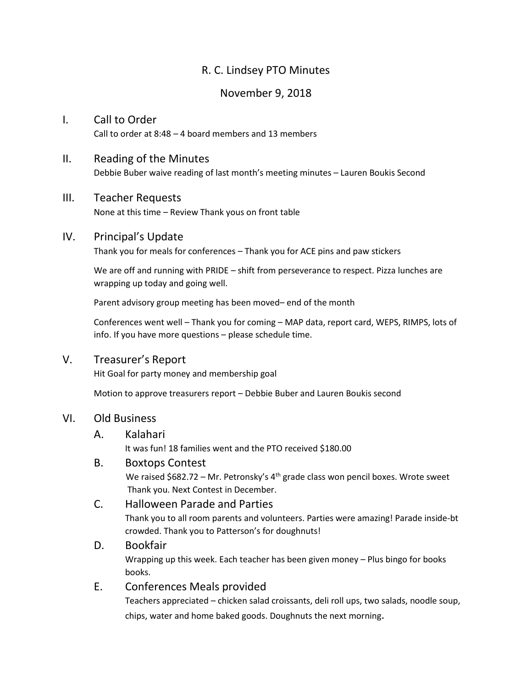# R. C. Lindsey PTO Minutes

# November 9, 2018

# I. Call to Order Call to order at 8:48 – 4 board members and 13 members

# II. Reading of the Minutes

Debbie Buber waive reading of last month's meeting minutes – Lauren Boukis Second

#### III. Teacher Requests

None at this time – Review Thank yous on front table

#### IV. Principal's Update

Thank you for meals for conferences – Thank you for ACE pins and paw stickers

We are off and running with PRIDE – shift from perseverance to respect. Pizza lunches are wrapping up today and going well.

Parent advisory group meeting has been moved– end of the month

Conferences went well – Thank you for coming – MAP data, report card, WEPS, RIMPS, lots of info. If you have more questions – please schedule time.

## V. Treasurer's Report

Hit Goal for party money and membership goal

Motion to approve treasurers report – Debbie Buber and Lauren Boukis second

#### VI. Old Business

#### A. Kalahari

It was fun! 18 families went and the PTO received \$180.00

#### B. Boxtops Contest

We raised  $$682.72$  – Mr. Petronsky's 4<sup>th</sup> grade class won pencil boxes. Wrote sweet Thank you. Next Contest in December.

## C. Halloween Parade and Parties

Thank you to all room parents and volunteers. Parties were amazing! Parade inside-bt crowded. Thank you to Patterson's for doughnuts!

#### D. Bookfair

Wrapping up this week. Each teacher has been given money – Plus bingo for books books.

#### E. Conferences Meals provided

Teachers appreciated – chicken salad croissants, deli roll ups, two salads, noodle soup, chips, water and home baked goods. Doughnuts the next morning.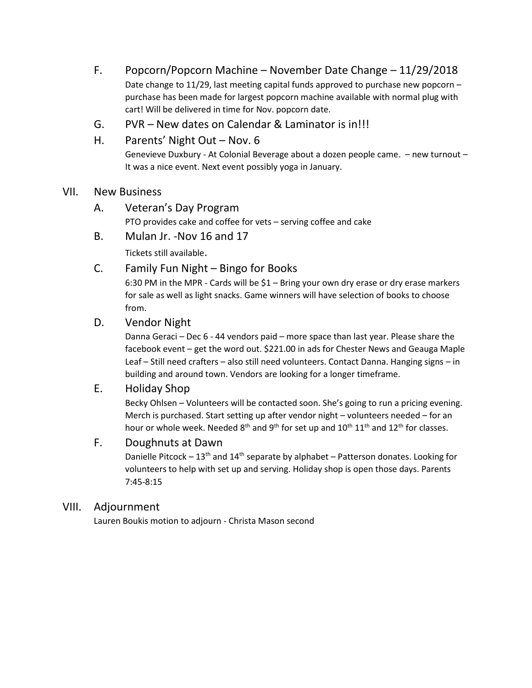- F. Popcorn/Popcorn Machine November Date Change 11/29/2018 Date change to 11/29, last meeting capital funds approved to purchase new popcorn – purchase has been made for largest popcorn machine available with normal plug with cart! Will be delivered in time for Nov. popcorn date.
- G. PVR New dates on Calendar & Laminator is in!!!
- H. Parents' Night Out Nov. 6

Genevieve Duxbury - At Colonial Beverage about a dozen people came. – new turnout – It was a nice event. Next event possibly yoga in January.

# VII. New Business

- A. Veteran's Day Program PTO provides cake and coffee for vets – serving coffee and cake
- B. Mulan Jr. -Nov 16 and 17

Tickets still available.

# C. Family Fun Night – Bingo for Books

6:30 PM in the MPR - Cards will be \$1 – Bring your own dry erase or dry erase markers for sale as well as light snacks. Game winners will have selection of books to choose from.

## D. Vendor Night

Danna Geraci – Dec 6 - 44 vendors paid – more space than last year. Please share the facebook event – get the word out. \$221.00 in ads for Chester News and Geauga Maple Leaf – Still need crafters – also still need volunteers. Contact Danna. Hanging signs – in building and around town. Vendors are looking for a longer timeframe.

# E. Holiday Shop

Becky Ohlsen – Volunteers will be contacted soon. She's going to run a pricing evening. Merch is purchased. Start setting up after vendor night – volunteers needed – for an hour or whole week. Needed  $8<sup>th</sup>$  and  $9<sup>th</sup>$  for set up and  $10<sup>th</sup> 11<sup>th</sup>$  and  $12<sup>th</sup>$  for classes.

#### F. Doughnuts at Dawn

Danielle Pitcock –  $13<sup>th</sup>$  and  $14<sup>th</sup>$  separate by alphabet – Patterson donates. Looking for volunteers to help with set up and serving. Holiday shop is open those days. Parents 7:45-8:15

#### VIII. Adjournment

Lauren Boukis motion to adjourn - Christa Mason second